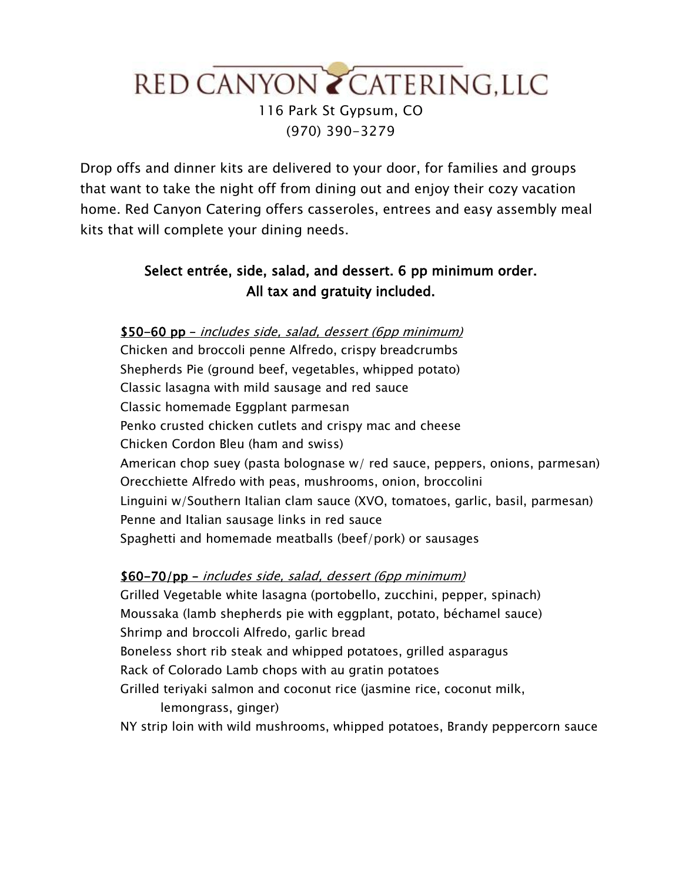# RED CANYON Z CATERING, LLC 116 Park St Gypsum, CO (970) 390-3279

Drop offs and dinner kits are delivered to your door, for families and groups that want to take the night off from dining out and enjoy their cozy vacation home. Red Canyon Catering offers casseroles, entrees and easy assembly meal kits that will complete your dining needs.

### Select entrée, side, salad, and dessert. 6 pp minimum order. All tax and gratuity included.

## \$50-60 pp – includes side, salad, dessert (6pp minimum) Chicken and broccoli penne Alfredo, crispy breadcrumbs Shepherds Pie (ground beef, vegetables, whipped potato) Classic lasagna with mild sausage and red sauce Classic homemade Eggplant parmesan Penko crusted chicken cutlets and crispy mac and cheese Chicken Cordon Bleu (ham and swiss) American chop suey (pasta bolognase w/ red sauce, peppers, onions, parmesan) Orecchiette Alfredo with peas, mushrooms, onion, broccolini Linguini w/Southern Italian clam sauce (XVO, tomatoes, garlic, basil, parmesan) Penne and Italian sausage links in red sauce Spaghetti and homemade meatballs (beef/pork) or sausages

### \$60-70/pp – includes side, salad, dessert (6pp minimum)

Grilled Vegetable white lasagna (portobello, zucchini, pepper, spinach) Moussaka (lamb shepherds pie with eggplant, potato, béchamel sauce) Shrimp and broccoli Alfredo, garlic bread Boneless short rib steak and whipped potatoes, grilled asparagus Rack of Colorado Lamb chops with au gratin potatoes Grilled teriyaki salmon and coconut rice (jasmine rice, coconut milk, lemongrass, ginger) NY strip loin with wild mushrooms, whipped potatoes, Brandy peppercorn sauce